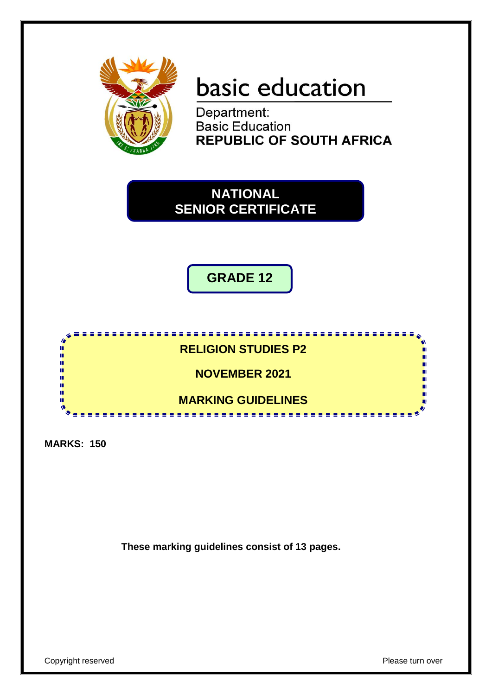

# basic education

Department: **Basic Education REPUBLIC OF SOUTH AFRICA** 



**GRADE 12**



**MARKS: 150**

**These marking guidelines consist of 13 pages.**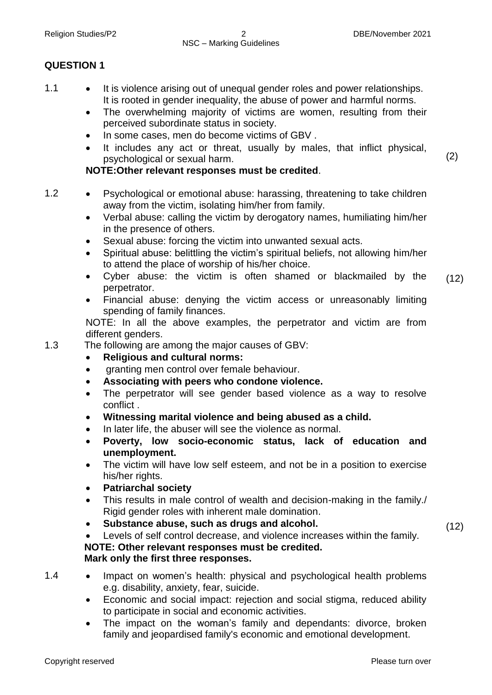#### Religion Studies/P2 2 DBE/November 2021 NSC – Marking Guidelines

#### **QUESTION 1**

- 1.1 It is violence arising out of unequal gender roles and power relationships. It is rooted in gender inequality, the abuse of power and harmful norms.
	- The overwhelming majority of victims are women, resulting from their perceived subordinate status in society.
	- In some cases, men do become victims of GBV.
	- It includes any act or threat, usually by males, that inflict physical, psychological or sexual harm.

#### **NOTE:Other relevant responses must be credited**.

- 1.2 Psychological or emotional abuse: harassing, threatening to take children away from the victim, isolating him/her from family.
	- Verbal abuse: calling the victim by derogatory names, humiliating him/her in the presence of others.
	- Sexual abuse: forcing the victim into unwanted sexual acts.
	- Spiritual abuse: belittling the victim's spiritual beliefs, not allowing him/her to attend the place of worship of his/her choice.
	- Cyber abuse: the victim is often shamed or blackmailed by the perpetrator.
	- Financial abuse: denying the victim access or unreasonably limiting spending of family finances.

NOTE: In all the above examples, the perpetrator and victim are from different genders.

1.3 The following are among the major causes of GBV:

- **Religious and cultural norms:**
- granting men control over female behaviour.
- **Associating with peers who condone violence.**
- The perpetrator will see gender based violence as a way to resolve conflict .
- **Witnessing marital violence and being abused as a child.**
- In later life, the abuser will see the violence as normal.
- **Poverty, low socio-economic status, lack of education and unemployment.**
- The victim will have low self esteem, and not be in a position to exercise his/her rights.
- **Patriarchal society**
- This results in male control of wealth and decision-making in the family./ Rigid gender roles with inherent male domination.
- **Substance abuse, such as drugs and alcohol.**

 Levels of self control decrease, and violence increases within the family. **NOTE: Other relevant responses must be credited.**

#### **Mark only the first three responses.**

- 1.4 Impact on women's health: physical and psychological health problems e.g. disability, anxiety, fear, suicide.
	- Economic and social impact: rejection and social stigma, reduced ability to participate in social and economic activities.
	- The impact on the woman's family and dependants: divorce, broken family and jeopardised family's economic and emotional development.

 $(12)$ 

 $(12)$ 

(2)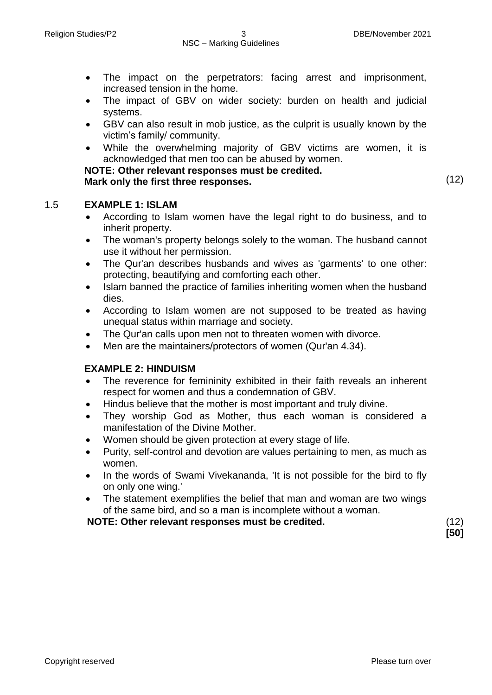- The impact on the perpetrators: facing arrest and imprisonment, increased tension in the home.
- The impact of GBV on wider society: burden on health and judicial systems.
- GBV can also result in mob justice, as the culprit is usually known by the victim's family/ community.
- While the overwhelming majority of GBV victims are women, it is acknowledged that men too can be abused by women.

**NOTE: Other relevant responses must be credited. Mark only the first three responses.** (12)

#### 1.5 **EXAMPLE 1: ISLAM**

- According to Islam women have the legal right to do business, and to inherit property.
- The woman's property belongs solely to the woman. The husband cannot use it without her permission.
- The Qur'an describes husbands and wives as 'garments' to one other: protecting, beautifying and comforting each other.
- Islam banned the practice of families inheriting women when the husband dies.
- According to Islam women are not supposed to be treated as having unequal status within marriage and society.
- The Qur'an calls upon men not to threaten women with divorce.
- Men are the maintainers/protectors of women (Qur'an 4.34).

#### **EXAMPLE 2: HINDUISM**

- The reverence for femininity exhibited in their faith reveals an inherent respect for women and thus a condemnation of GBV.
- Hindus believe that the mother is most important and truly divine.
- They worship God as Mother, thus each woman is considered a manifestation of the Divine Mother.
- Women should be given protection at every stage of life.
- Purity, self-control and devotion are values pertaining to men, as much as women.
- In the words of Swami Vivekananda, 'It is not possible for the bird to fly on only one wing.'
- The statement exemplifies the belief that man and woman are two wings of the same bird, and so a man is incomplete without a woman.

**NOTE: Other relevant responses must be credited.** (12)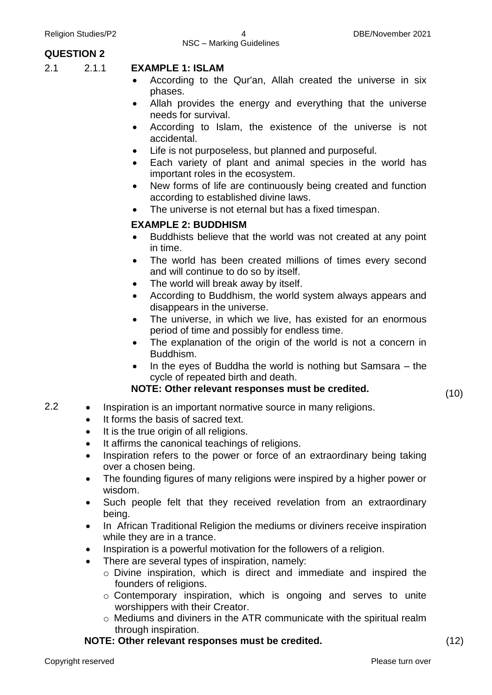#### **QUESTION 2**

#### 2.1 2.1.1 **EXAMPLE 1: ISLAM**

- According to the Qur'an, Allah created the universe in six phases.
- Allah provides the energy and everything that the universe needs for survival.
- According to Islam, the existence of the universe is not accidental.
- Life is not purposeless, but planned and purposeful.
- Each variety of plant and animal species in the world has important roles in the ecosystem.
- New forms of life are continuously being created and function according to established divine laws.
- The universe is not eternal but has a fixed timespan.

#### **EXAMPLE 2: BUDDHISM**

- Buddhists believe that the world was not created at any point in time.
- The world has been created millions of times every second and will continue to do so by itself.
- The world will break away by itself.
- According to Buddhism, the world system always appears and disappears in the universe.
- The universe, in which we live, has existed for an enormous period of time and possibly for endless time.
- The explanation of the origin of the world is not a concern in Buddhism.
- In the eyes of Buddha the world is nothing but Samsara the cycle of repeated birth and death.

#### **NOTE: Other relevant responses must be credited.**

(10)

- 2.2 Inspiration is an important normative source in many religions.
	- It forms the basis of sacred text.
	- It is the true origin of all religions.
	- It affirms the canonical teachings of religions.
	- Inspiration refers to the power or force of an extraordinary being taking over a chosen being.
	- The founding figures of many religions were inspired by a higher power or wisdom.
	- Such people felt that they received revelation from an extraordinary being.
	- In African Traditional Religion the mediums or diviners receive inspiration while they are in a trance.
	- Inspiration is a powerful motivation for the followers of a religion.
	- There are several types of inspiration, namely:
		- o Divine inspiration, which is direct and immediate and inspired the founders of religions.
		- o Contemporary inspiration, which is ongoing and serves to unite worshippers with their Creator.
		- o Mediums and diviners in the ATR communicate with the spiritual realm through inspiration.

#### **NOTE: Other relevant responses must be credited.** (12)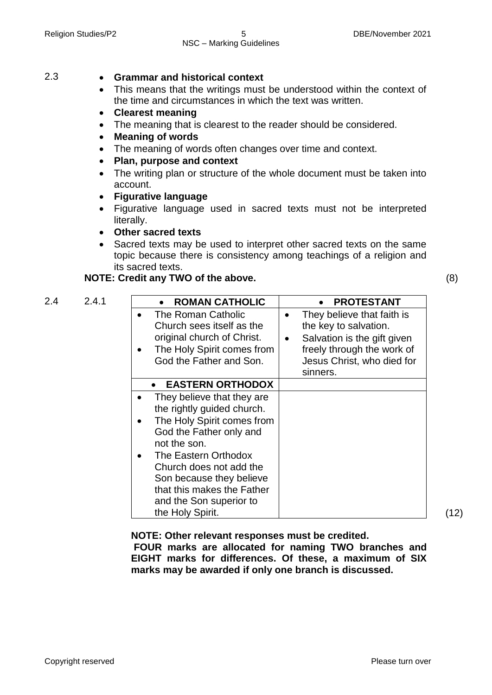#### Religion Studies/P2 **5** 5 DBE/November 2021 NSC – Marking Guidelines

#### 2.3 **Grammar and historical context**

- This means that the writings must be understood within the context of the time and circumstances in which the text was written.
- **Clearest meaning**
- The meaning that is clearest to the reader should be considered.
- **Meaning of words**
- The meaning of words often changes over time and context.
- **Plan, purpose and context**
- The writing plan or structure of the whole document must be taken into account.
- **Figurative language**
- Figurative language used in sacred texts must not be interpreted literally.
- **Other sacred texts**
- Sacred texts may be used to interpret other sacred texts on the same topic because there is consistency among teachings of a religion and its sacred texts.

#### **NOTE: Credit any TWO of the above.** (8)

| 2.4<br>2.4.1 | <b>ROMAN CATHOLIC</b>                                                                                                                                                                                                                                                                         | <b>PROTESTANT</b>                                                                                                                                                                    |
|--------------|-----------------------------------------------------------------------------------------------------------------------------------------------------------------------------------------------------------------------------------------------------------------------------------------------|--------------------------------------------------------------------------------------------------------------------------------------------------------------------------------------|
|              | The Roman Catholic<br>Church sees itself as the<br>original church of Christ.<br>The Holy Spirit comes from<br>God the Father and Son.                                                                                                                                                        | They believe that faith is<br>$\bullet$<br>the key to salvation.<br>Salvation is the gift given<br>$\bullet$<br>freely through the work of<br>Jesus Christ, who died for<br>sinners. |
|              | <b>EASTERN ORTHODOX</b>                                                                                                                                                                                                                                                                       |                                                                                                                                                                                      |
|              | They believe that they are<br>the rightly guided church.<br>The Holy Spirit comes from<br>God the Father only and<br>not the son.<br>The Eastern Orthodox<br>Church does not add the<br>Son because they believe<br>that this makes the Father<br>and the Son superior to<br>the Holy Spirit. |                                                                                                                                                                                      |

(12)

**NOTE: Other relevant responses must be credited.** 

**FOUR marks are allocated for naming TWO branches and EIGHT marks for differences. Of these, a maximum of SIX marks may be awarded if only one branch is discussed.**

Copyright reserved **Please turn over the Copyright reserved** Please turn over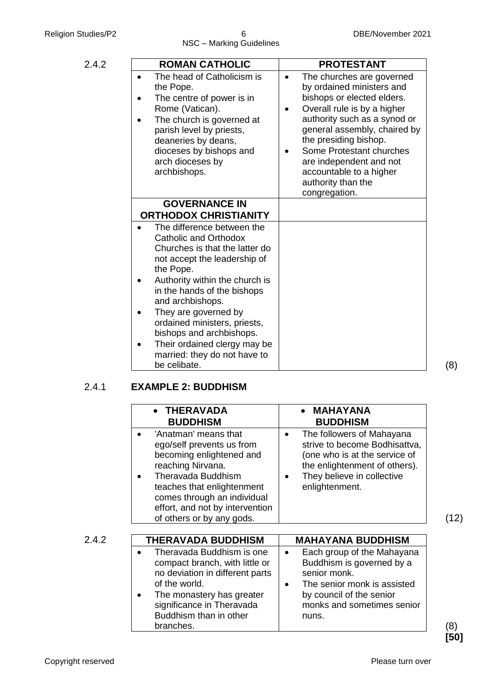### 2.4.1 **EXAMPLE 2: BUDDHISM**

|       | <b>THERAVADA</b><br><b>BUDDHISM</b>                                                                                                                                                                                                                          | <b>MAHAYANA</b><br><b>BUDDHISM</b>                                                                                                                                                        |
|-------|--------------------------------------------------------------------------------------------------------------------------------------------------------------------------------------------------------------------------------------------------------------|-------------------------------------------------------------------------------------------------------------------------------------------------------------------------------------------|
|       | 'Anatman' means that<br>ego/self prevents us from<br>becoming enlightened and<br>reaching Nirvana.<br><b>Theravada Buddhism</b><br>teaches that enlightenment<br>comes through an individual<br>effort, and not by intervention<br>of others or by any gods. | The followers of Mahayana<br>$\bullet$<br>strive to become Bodhisattva,<br>(one who is at the service of<br>the enlightenment of others).<br>They believe in collective<br>enlightenment. |
| 2.4.2 | THERAVADA BUDDHISM                                                                                                                                                                                                                                           | <b>MAHAYANA BUDDHISM</b>                                                                                                                                                                  |
|       | Theravada Buddhism is one<br>compact branch, with little or<br>no deviation in different parts<br>of the world.<br>The monastery has greater<br>$\bullet$<br>significance in Theravada<br>Buddhism than in other<br>branches.                                | Each group of the Mahayana<br>٠<br>Buddhism is governed by a<br>senior monk.<br>The senior monk is assisted<br>by council of the senior<br>monks and sometimes senior<br>nuns.            |

(8) **[50]**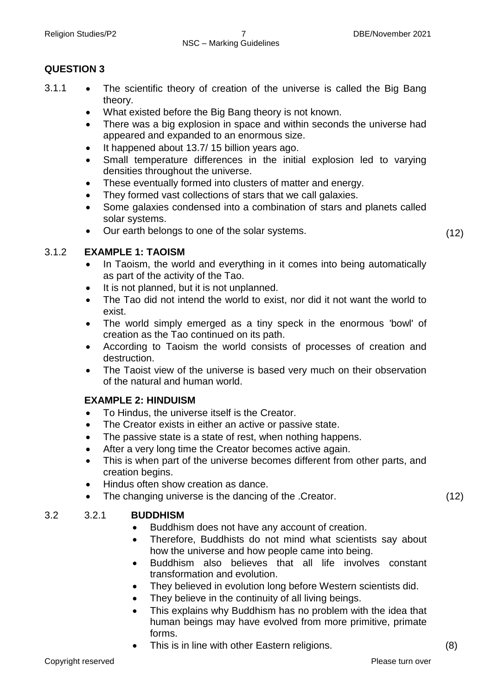## NSC – Marking Guidelines

#### **QUESTION 3**

- 3.1.1 The scientific theory of creation of the universe is called the Big Bang theory.
	- What existed before the Big Bang theory is not known.
	- There was a big explosion in space and within seconds the universe had appeared and expanded to an enormous size.
	- It happened about 13.7/ 15 billion years ago.
	- Small temperature differences in the initial explosion led to varying densities throughout the universe.
	- These eventually formed into clusters of matter and energy.
	- They formed vast collections of stars that we call galaxies.
	- Some galaxies condensed into a combination of stars and planets called solar systems.
	- Our earth belongs to one of the solar systems. (12)

#### 3.1.2 **EXAMPLE 1: TAOISM**

- In Taoism, the world and everything in it comes into being automatically as part of the activity of the Tao.
- It is not planned, but it is not unplanned.
- The Tao did not intend the world to exist, nor did it not want the world to exist.
- The world simply emerged as a tiny speck in the enormous 'bowl' of creation as the Tao continued on its path.
- According to Taoism the world consists of processes of creation and destruction.
- The Taoist view of the universe is based very much on their observation of the natural and human world.

#### **EXAMPLE 2: HINDUISM**

- To Hindus, the universe itself is the Creator.
- The Creator exists in either an active or passive state.
- The passive state is a state of rest, when nothing happens.
- After a very long time the Creator becomes active again.
- This is when part of the universe becomes different from other parts, and creation begins.
- Hindus often show creation as dance.
- The changing universe is the dancing of the .Creator. (12)

#### 3.2 3.2.1 **BUDDHISM**

- Buddhism does not have any account of creation.
- Therefore, Buddhists do not mind what scientists say about how the universe and how people came into being.
- Buddhism also believes that all life involves constant transformation and evolution.
- They believed in evolution long before Western scientists did.
- They believe in the continuity of all living beings.
- This explains why Buddhism has no problem with the idea that human beings may have evolved from more primitive, primate forms.
- This is in line with other Eastern religions. (8)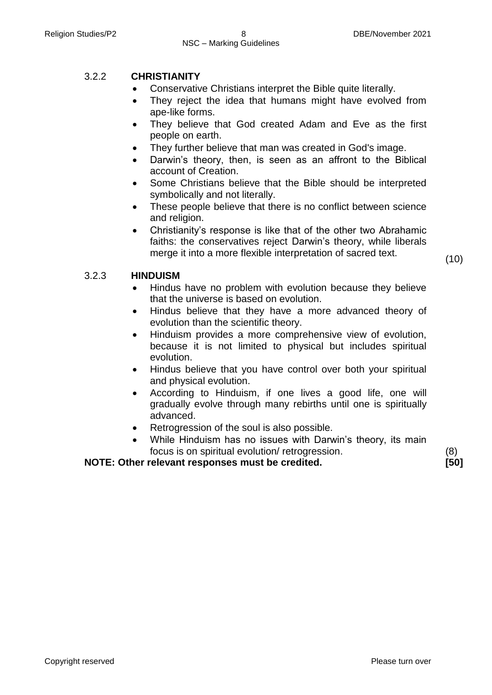#### 3.2.2 **CHRISTIANITY**

- Conservative Christians interpret the Bible quite literally.
- They reject the idea that humans might have evolved from ape-like forms.
- They believe that God created Adam and Eve as the first people on earth.
- They further believe that man was created in God's image.
- Darwin's theory, then, is seen as an affront to the Biblical account of Creation.
- Some Christians believe that the Bible should be interpreted symbolically and not literally.
- These people believe that there is no conflict between science and religion.
- Christianity's response is like that of the other two Abrahamic faiths: the conservatives reject Darwin's theory, while liberals merge it into a more flexible interpretation of sacred text. (10)

#### 3.2.3 **HINDUISM**

- Hindus have no problem with evolution because they believe that the universe is based on evolution.
- Hindus believe that they have a more advanced theory of evolution than the scientific theory.
- Hinduism provides a more comprehensive view of evolution, because it is not limited to physical but includes spiritual evolution.
- Hindus believe that you have control over both your spiritual and physical evolution.
- According to Hinduism, if one lives a good life, one will gradually evolve through many rebirths until one is spiritually advanced.
- Retrogression of the soul is also possible.
- While Hinduism has no issues with Darwin's theory, its main focus is on spiritual evolution/ retrogression. (8)

**NOTE: Other relevant responses must be credited. [50]**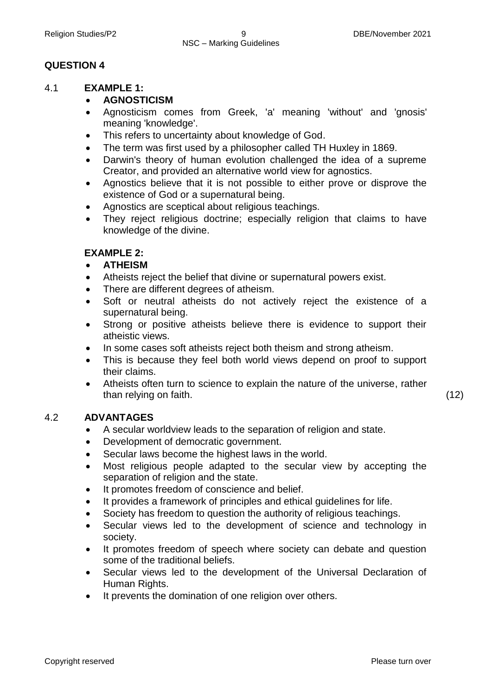#### **QUESTION 4**

#### 4.1 **EXAMPLE 1:**

#### **AGNOSTICISM**

- Agnosticism comes from Greek, 'a' meaning 'without' and 'gnosis' meaning 'knowledge'.
- This refers to uncertainty about knowledge of God.
- The term was first used by a philosopher called TH Huxley in 1869.
- Darwin's theory of human evolution challenged the idea of a supreme Creator, and provided an alternative world view for agnostics.
- Agnostics believe that it is not possible to either prove or disprove the existence of God or a supernatural being.
- Agnostics are sceptical about religious teachings.
- They reject religious doctrine; especially religion that claims to have knowledge of the divine.

#### **EXAMPLE 2:**

- **ATHEISM**
- Atheists reject the belief that divine or supernatural powers exist.
- There are different degrees of atheism.
- Soft or neutral atheists do not actively reject the existence of a supernatural being.
- Strong or positive atheists believe there is evidence to support their atheistic views.
- In some cases soft atheists reject both theism and strong atheism.
- This is because they feel both world views depend on proof to support their claims.
- Atheists often turn to science to explain the nature of the universe, rather than relying on faith. (12)

#### 4.2 **ADVANTAGES**

- A secular worldview leads to the separation of religion and state.
- Development of democratic government.
- Secular laws become the highest laws in the world.
- Most religious people adapted to the secular view by accepting the separation of religion and the state.
- It promotes freedom of conscience and belief.
- It provides a framework of principles and ethical guidelines for life.
- Society has freedom to question the authority of religious teachings.
- Secular views led to the development of science and technology in society.
- It promotes freedom of speech where society can debate and question some of the traditional beliefs.
- Secular views led to the development of the Universal Declaration of Human Rights.
- It prevents the domination of one religion over others.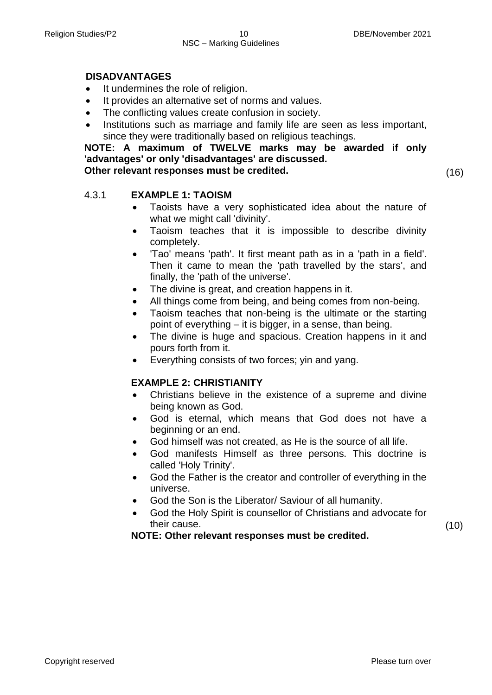#### **DISADVANTAGES**

- It undermines the role of religion.
- It provides an alternative set of norms and values.
- The conflicting values create confusion in society.
- Institutions such as marriage and family life are seen as less important, since they were traditionally based on religious teachings.

**NOTE: A maximum of TWELVE marks may be awarded if only 'advantages' or only 'disadvantages' are discussed.**

**Other relevant responses must be credited.** (16)

(10)

#### 4.3.1 **EXAMPLE 1: TAOISM**

- Taoists have a very sophisticated idea about the nature of what we might call 'divinity'.
- Taoism teaches that it is impossible to describe divinity completely.
- 'Tao' means 'path'. It first meant path as in a 'path in a field'. Then it came to mean the 'path travelled by the stars', and finally, the 'path of the universe'.
- The divine is great, and creation happens in it.
- All things come from being, and being comes from non-being.
- Taoism teaches that non-being is the ultimate or the starting point of everything – it is bigger, in a sense, than being.
- The divine is huge and spacious. Creation happens in it and pours forth from it.
- Everything consists of two forces; yin and yang.

#### **EXAMPLE 2: CHRISTIANITY**

- Christians believe in the existence of a supreme and divine being known as God.
- God is eternal, which means that God does not have a beginning or an end.
- God himself was not created, as He is the source of all life.
- God manifests Himself as three persons. This doctrine is called 'Holy Trinity'.
- God the Father is the creator and controller of everything in the universe.
- God the Son is the Liberator/ Saviour of all humanity.
- God the Holy Spirit is counsellor of Christians and advocate for their cause.

#### **NOTE: Other relevant responses must be credited.**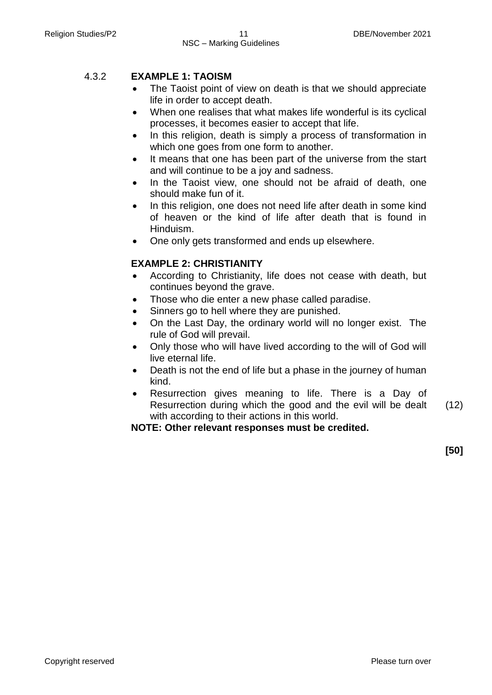#### 4.3.2 **EXAMPLE 1: TAOISM**

- The Taoist point of view on death is that we should appreciate life in order to accept death.
- When one realises that what makes life wonderful is its cyclical processes, it becomes easier to accept that life.
- In this religion, death is simply a process of transformation in which one goes from one form to another.
- It means that one has been part of the universe from the start and will continue to be a joy and sadness.
- In the Taoist view, one should not be afraid of death, one should make fun of it.
- In this religion, one does not need life after death in some kind of heaven or the kind of life after death that is found in Hinduism.
- One only gets transformed and ends up elsewhere.

#### **EXAMPLE 2: CHRISTIANITY**

- According to Christianity, life does not cease with death, but continues beyond the grave.
- Those who die enter a new phase called paradise.
- Sinners go to hell where they are punished.
- On the Last Day, the ordinary world will no longer exist. The rule of God will prevail.
- Only those who will have lived according to the will of God will live eternal life.
- Death is not the end of life but a phase in the journey of human kind.
- Resurrection gives meaning to life. There is a Day of Resurrection during which the good and the evil will be dealt with according to their actions in this world. (12)

#### **NOTE: Other relevant responses must be credited.**

**[50]**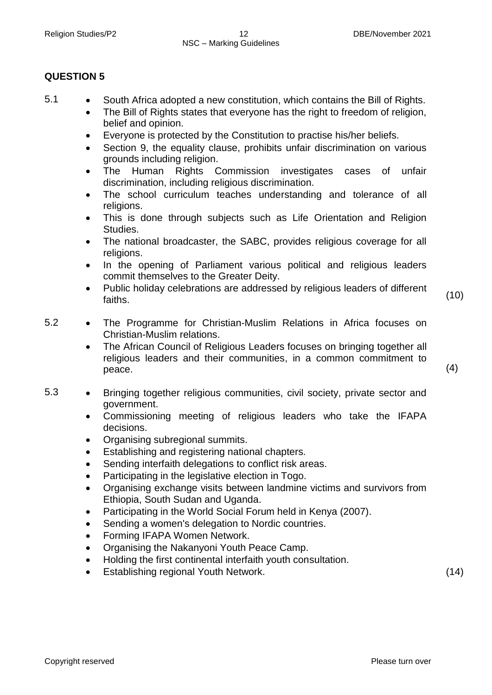#### **QUESTION 5**

- 5.1 South Africa adopted a new constitution, which contains the Bill of Rights.
	- The Bill of Rights states that everyone has the right to freedom of religion, belief and opinion.
	- Everyone is protected by the Constitution to practise his/her beliefs.
	- Section 9, the equality clause, prohibits unfair discrimination on various grounds including religion.
	- The Human Rights Commission investigates cases of unfair discrimination, including religious discrimination.
	- The school curriculum teaches understanding and tolerance of all religions.
	- This is done through subjects such as Life Orientation and Religion Studies.
	- The national broadcaster, the SABC, provides religious coverage for all religions.
	- In the opening of Parliament various political and religious leaders commit themselves to the Greater Deity.
	- Public holiday celebrations are addressed by religious leaders of different r dono nonday constraint to discussed by religious reducted of different (10)<br>faiths.

- 5.2 The Programme for Christian-Muslim Relations in Africa focuses on Christian-Muslim relations.
	- The African Council of Religious Leaders focuses on bringing together all religious leaders and their communities, in a common commitment to  $\beta$  peace.  $(4)$

5.3 • Bringing together religious communities, civil society, private sector and government.

- Commissioning meeting of religious leaders who take the IFAPA decisions.
- Organising subregional summits.
- Establishing and registering national chapters.
- Sending interfaith delegations to conflict risk areas.
- Participating in the legislative election in Togo.
- Organising exchange visits between landmine victims and survivors from Ethiopia, South Sudan and Uganda.
- Participating in the World Social Forum held in Kenya (2007).
- Sending a women's delegation to Nordic countries.
- Forming IFAPA Women Network.
- Organising the Nakanyoni Youth Peace Camp.
- Holding the first continental interfaith youth consultation.
- Establishing regional Youth Network. (14)